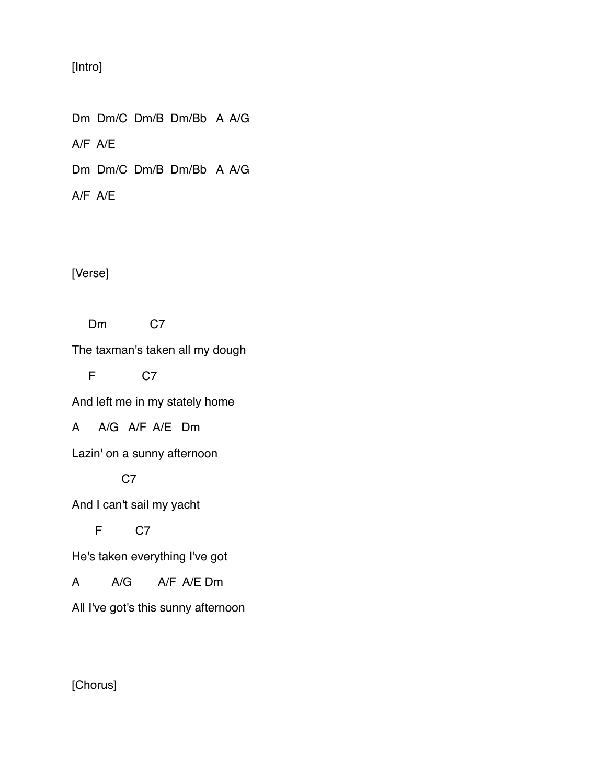## [Intro]

Dm Dm/C Dm/B Dm/Bb A A/G A/F A/E Dm Dm/C Dm/B Dm/Bb A A/G

A/F A/E

[Verse]

Dm C7

The taxman's taken all my dough

F C7

And left me in my stately home

A A/G A/F A/E Dm

Lazin' on a sunny afternoon

C7

And I can't sail my yacht

F C7

He's taken everything I've got

A A/G A/F A/E Dm

All I've got's this sunny afternoon

[Chorus]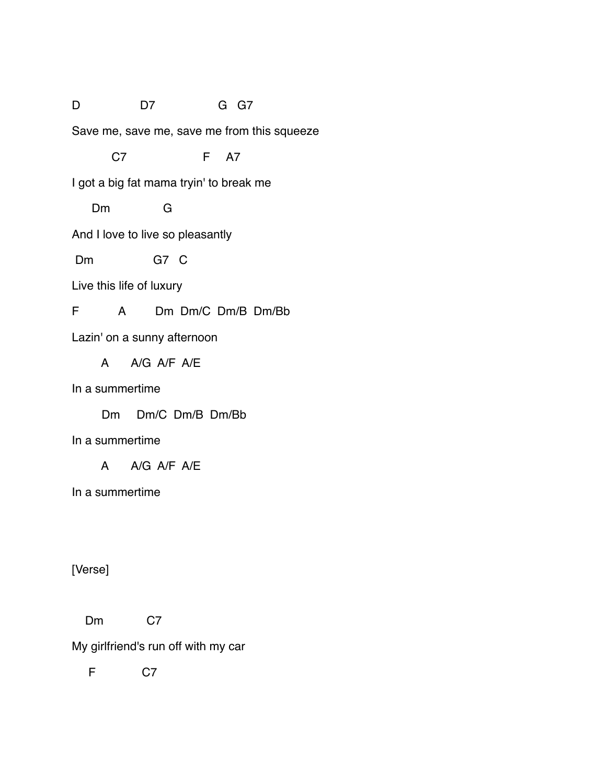## D D7 G G7

Save me, save me, save me from this squeeze

C7 F A7

I got a big fat mama tryin' to break me

Dm G

And I love to live so pleasantly

Dm G7 C

Live this life of luxury

F A Dm Dm/C Dm/B Dm/Bb

Lazin' on a sunny afternoon

A A/G A/F A/E

In a summertime

Dm Dm/C Dm/B Dm/Bb

In a summertime

A A/G A/F A/E

In a summertime

[Verse]

Dm C7

My girlfriend's run off with my car

F C7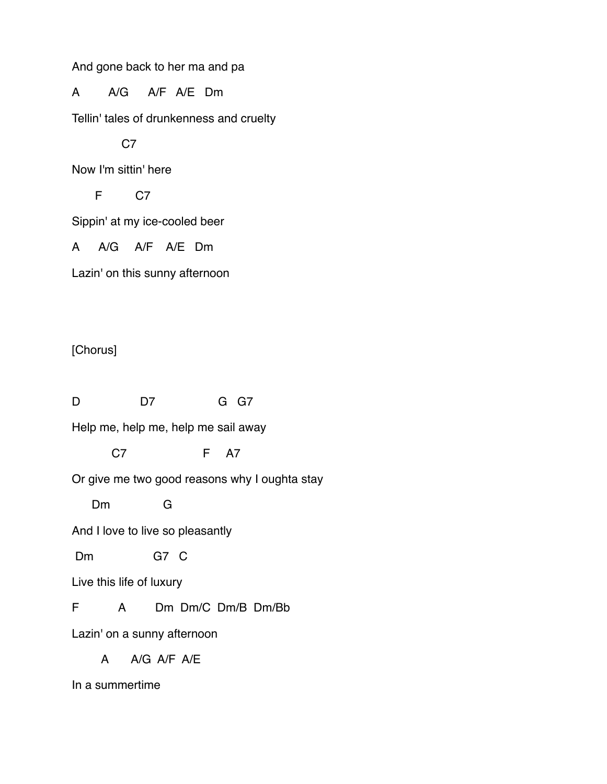And gone back to her ma and pa

A A/G A/F A/E Dm

Tellin' tales of drunkenness and cruelty

C<sub>7</sub>

Now I'm sittin' here

F C7

Sippin' at my ice-cooled beer

A A/G A/F A/E Dm

Lazin' on this sunny afternoon

[Chorus]

D D7 G G7 Help me, help me, help me sail away C7 F A7 Or give me two good reasons why I oughta stay Dm G And I love to live so pleasantly Dm G7 C Live this life of luxury F A Dm Dm/C Dm/B Dm/Bb Lazin' on a sunny afternoon A A/G A/F A/E

In a summertime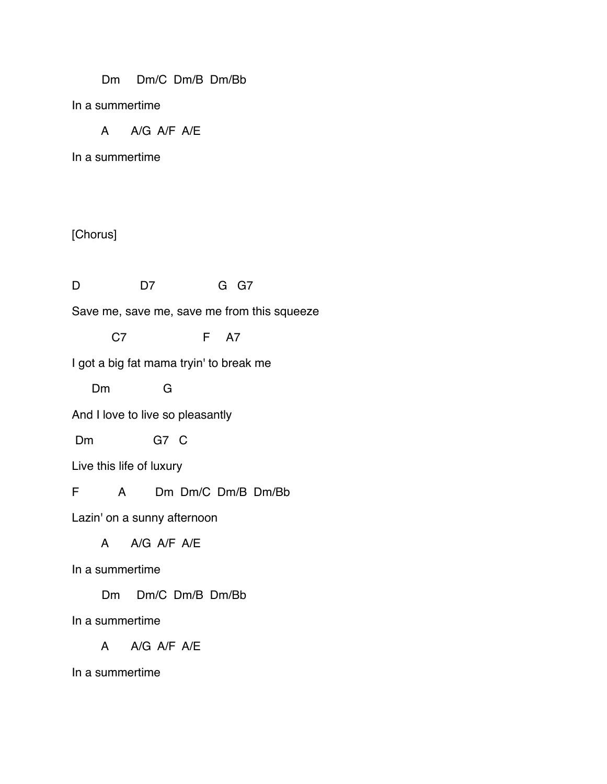Dm Dm/C Dm/B Dm/Bb

In a summertime

A A/G A/F A/E

In a summertime

## [Chorus]

D D7 G G7

Save me, save me, save me from this squeeze

C7 F A7

I got a big fat mama tryin' to break me

Dm G

And I love to live so pleasantly

Dm G7 C

Live this life of luxury

F A Dm Dm/C Dm/B Dm/Bb

Lazin' on a sunny afternoon

A A/G A/F A/E

In a summertime

Dm Dm/C Dm/B Dm/Bb

In a summertime

A A/G A/F A/E

In a summertime